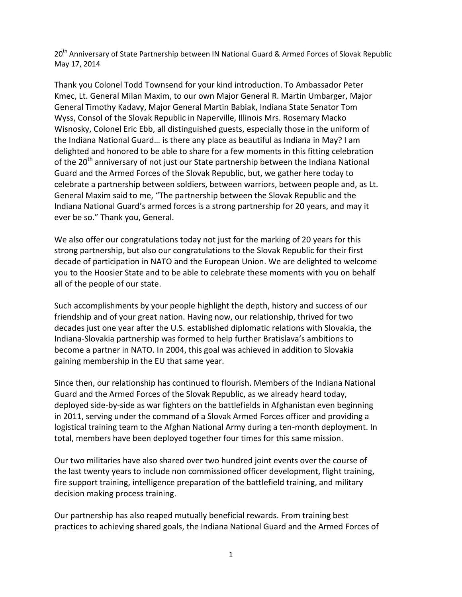20<sup>th</sup> Anniversary of State Partnership between IN National Guard & Armed Forces of Slovak Republic May 17, 2014

Thank you Colonel Todd Townsend for your kind introduction. To Ambassador Peter Kmec, Lt. General Milan Maxim, to our own Major General R. Martin Umbarger, Major General Timothy Kadavy, Major General Martin Babiak, Indiana State Senator Tom Wyss, Consol of the Slovak Republic in Naperville, Illinois Mrs. Rosemary Macko Wisnosky, Colonel Eric Ebb, all distinguished guests, especially those in the uniform of the Indiana National Guard… is there any place as beautiful as Indiana in May? I am delighted and honored to be able to share for a few moments in this fitting celebration of the  $20<sup>th</sup>$  anniversary of not just our State partnership between the Indiana National Guard and the Armed Forces of the Slovak Republic, but, we gather here today to celebrate a partnership between soldiers, between warriors, between people and, as Lt. General Maxim said to me, "The partnership between the Slovak Republic and the Indiana National Guard's armed forces is a strong partnership for 20 years, and may it ever be so." Thank you, General.

We also offer our congratulations today not just for the marking of 20 years for this strong partnership, but also our congratulations to the Slovak Republic for their first decade of participation in NATO and the European Union. We are delighted to welcome you to the Hoosier State and to be able to celebrate these moments with you on behalf all of the people of our state.

Such accomplishments by your people highlight the depth, history and success of our friendship and of your great nation. Having now, our relationship, thrived for two decades just one year after the U.S. established diplomatic relations with Slovakia, the Indiana-Slovakia partnership was formed to help further Bratislava's ambitions to become a partner in NATO. In 2004, this goal was achieved in addition to Slovakia gaining membership in the EU that same year.

Since then, our relationship has continued to flourish. Members of the Indiana National Guard and the Armed Forces of the Slovak Republic, as we already heard today, deployed side-by-side as war fighters on the battlefields in Afghanistan even beginning in 2011, serving under the command of a Slovak Armed Forces officer and providing a logistical training team to the Afghan National Army during a ten-month deployment. In total, members have been deployed together four times for this same mission.

Our two militaries have also shared over two hundred joint events over the course of the last twenty years to include non commissioned officer development, flight training, fire support training, intelligence preparation of the battlefield training, and military decision making process training.

Our partnership has also reaped mutually beneficial rewards. From training best practices to achieving shared goals, the Indiana National Guard and the Armed Forces of